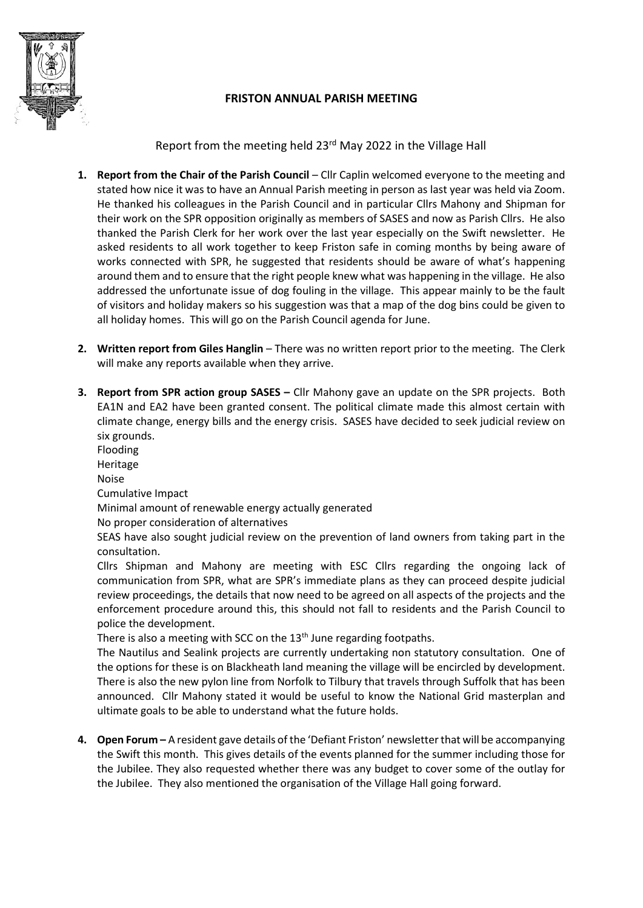

## FRISTON ANNUAL PARISH MEETING

Report from the meeting held 23rd May 2022 in the Village Hall

- 1. Report from the Chair of the Parish Council Cllr Caplin welcomed everyone to the meeting and stated how nice it was to have an Annual Parish meeting in person as last year was held via Zoom. He thanked his colleagues in the Parish Council and in particular Cllrs Mahony and Shipman for their work on the SPR opposition originally as members of SASES and now as Parish Cllrs. He also thanked the Parish Clerk for her work over the last year especially on the Swift newsletter. He asked residents to all work together to keep Friston safe in coming months by being aware of works connected with SPR, he suggested that residents should be aware of what's happening around them and to ensure that the right people knew what was happening in the village. He also addressed the unfortunate issue of dog fouling in the village. This appear mainly to be the fault of visitors and holiday makers so his suggestion was that a map of the dog bins could be given to all holiday homes. This will go on the Parish Council agenda for June.
- 2. Written report from Giles Hanglin There was no written report prior to the meeting. The Clerk will make any reports available when they arrive.
- **3. Report from SPR action group SASES –** Cllr Mahony gave an update on the SPR projects. Both EA1N and EA2 have been granted consent. The political climate made this almost certain with climate change, energy bills and the energy crisis. SASES have decided to seek judicial review on six grounds.

Flooding

Heritage

Noise

Cumulative Impact

Minimal amount of renewable energy actually generated

No proper consideration of alternatives

SEAS have also sought judicial review on the prevention of land owners from taking part in the consultation.

Cllrs Shipman and Mahony are meeting with ESC Cllrs regarding the ongoing lack of communication from SPR, what are SPR's immediate plans as they can proceed despite judicial review proceedings, the details that now need to be agreed on all aspects of the projects and the enforcement procedure around this, this should not fall to residents and the Parish Council to police the development.

There is also a meeting with SCC on the 13<sup>th</sup> June regarding footpaths.

The Nautilus and Sealink projects are currently undertaking non statutory consultation. One of the options for these is on Blackheath land meaning the village will be encircled by development. There is also the new pylon line from Norfolk to Tilbury that travels through Suffolk that has been announced. Cllr Mahony stated it would be useful to know the National Grid masterplan and ultimate goals to be able to understand what the future holds.

4. Open Forum – A resident gave details of the 'Defiant Friston' newsletter that will be accompanying the Swift this month. This gives details of the events planned for the summer including those for the Jubilee. They also requested whether there was any budget to cover some of the outlay for the Jubilee. They also mentioned the organisation of the Village Hall going forward.